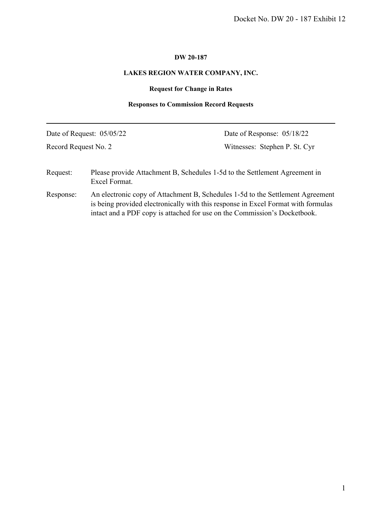# **DW 20-187**

# **LAKES REGION WATER COMPANY, INC.**

# **Request for Change in Rates**

# **Responses to Commission Record Requests**

|                      |                           | Docket No. DW 20 - 187 Exhibit 12                                                                                                                                                                                                                |
|----------------------|---------------------------|--------------------------------------------------------------------------------------------------------------------------------------------------------------------------------------------------------------------------------------------------|
|                      |                           |                                                                                                                                                                                                                                                  |
|                      |                           | DW 20-187                                                                                                                                                                                                                                        |
|                      |                           | LAKES REGION WATER COMPANY, INC.                                                                                                                                                                                                                 |
|                      |                           | <b>Request for Change in Rates</b>                                                                                                                                                                                                               |
|                      |                           | <b>Responses to Commission Record Requests</b>                                                                                                                                                                                                   |
|                      | Date of Request: 05/05/22 | Date of Response: 05/18/22                                                                                                                                                                                                                       |
| Record Request No. 2 |                           | Witnesses: Stephen P. St. Cyr                                                                                                                                                                                                                    |
| Request:             | Excel Format.             | Please provide Attachment B, Schedules 1-5d to the Settlement Agreement in                                                                                                                                                                       |
| Response:            |                           | An electronic copy of Attachment B, Schedules 1-5d to the Settlement Agreement<br>is being provided electronically with this response in Excel Format with formulas<br>intact and a PDF copy is attached for use on the Commission's Docketbook. |
|                      |                           |                                                                                                                                                                                                                                                  |
|                      |                           |                                                                                                                                                                                                                                                  |
|                      |                           |                                                                                                                                                                                                                                                  |
|                      |                           |                                                                                                                                                                                                                                                  |
|                      |                           |                                                                                                                                                                                                                                                  |
|                      |                           |                                                                                                                                                                                                                                                  |
|                      |                           |                                                                                                                                                                                                                                                  |
|                      |                           |                                                                                                                                                                                                                                                  |
|                      |                           |                                                                                                                                                                                                                                                  |
|                      |                           |                                                                                                                                                                                                                                                  |
|                      |                           |                                                                                                                                                                                                                                                  |
|                      |                           |                                                                                                                                                                                                                                                  |
|                      |                           |                                                                                                                                                                                                                                                  |
|                      |                           |                                                                                                                                                                                                                                                  |
|                      |                           |                                                                                                                                                                                                                                                  |
|                      |                           |                                                                                                                                                                                                                                                  |
|                      |                           |                                                                                                                                                                                                                                                  |
|                      |                           |                                                                                                                                                                                                                                                  |
|                      |                           |                                                                                                                                                                                                                                                  |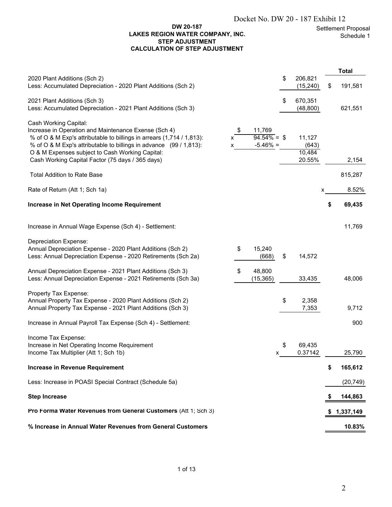## **DW 20-187 LAKES REGION WATER COMPANY, INC. STEP ADJUSTMENT CALCULATION OF STEP ADJUSTMENT**

|                                                                                                                                                                                                                                                                                 |              |                                                   | Docket No. DW 20 - 187 Exhibit 12 |    |                                |
|---------------------------------------------------------------------------------------------------------------------------------------------------------------------------------------------------------------------------------------------------------------------------------|--------------|---------------------------------------------------|-----------------------------------|----|--------------------------------|
| DW 20-187<br>LAKES REGION WATER COMPANY, INC.<br><b>STEP ADJUSTMENT</b><br><b>CALCULATION OF STEP ADJUSTMENT</b>                                                                                                                                                                |              |                                                   |                                   |    | Settlement Proposa<br>Schedule |
|                                                                                                                                                                                                                                                                                 |              |                                                   |                                   |    | <b>Total</b>                   |
| 2020 Plant Additions (Sch 2)<br>Less: Accumulated Depreciation - 2020 Plant Additions (Sch 2)                                                                                                                                                                                   |              |                                                   | \$<br>206,821<br>(15, 240)        | \$ | 191,581                        |
| 2021 Plant Additions (Sch 3)<br>Less: Accumulated Depreciation - 2021 Plant Additions (Sch 3)                                                                                                                                                                                   |              |                                                   | \$<br>670,351<br>(48, 800)        |    | 621,551                        |
| Cash Working Capital:<br>Increase in Operation and Maintenance Exense (Sch 4)<br>% of O & M Exp's attributable to billings in arrears (1,714 / 1,813):<br>% of O & M Exp's attributable to billings in advance (99 / 1,813):<br>O & M Expenses subject to Cash Working Capital: | \$<br>x<br>x | 11,769<br>$\overline{94.54\%} =$ \$<br>$-5.46% =$ | 11,127<br>(643)<br>10,484         |    |                                |
| Cash Working Capital Factor (75 days / 365 days)                                                                                                                                                                                                                                |              |                                                   | 20.55%                            |    | 2,154                          |
| <b>Total Addition to Rate Base</b>                                                                                                                                                                                                                                              |              |                                                   |                                   |    | 815,287                        |
| Rate of Return (Att 1; Sch 1a)                                                                                                                                                                                                                                                  |              |                                                   |                                   | x  | 8.52%                          |
| <b>Increase in Net Operating Income Requirement</b>                                                                                                                                                                                                                             |              |                                                   |                                   | \$ | 69,435                         |
| Increase in Annual Wage Expense (Sch 4) - Settlement:                                                                                                                                                                                                                           |              |                                                   |                                   |    | 11,769                         |
| <b>Depreciation Expense:</b><br>Annual Depreciation Expense - 2020 Plant Additions (Sch 2)<br>Less: Annual Depreciation Expense - 2020 Retirements (Sch 2a)                                                                                                                     | \$           | 15,240<br>(668)                                   | \$<br>14,572                      |    |                                |
| Annual Depreciation Expense - 2021 Plant Additions (Sch 3)<br>Less: Annual Depreciation Expense - 2021 Retirements (Sch 3a)                                                                                                                                                     | \$           | 48,800<br>(15, 365)                               | 33,435                            |    | 48,006                         |
| Property Tax Expense:<br>Annual Property Tax Expense - 2020 Plant Additions (Sch 2)<br>Annual Property Tax Expense - 2021 Plant Additions (Sch 3)                                                                                                                               |              |                                                   | \$<br>2,358<br>7,353              |    | 9,712                          |
| Increase in Annual Payroll Tax Expense (Sch 4) - Settlement:                                                                                                                                                                                                                    |              |                                                   |                                   |    | 900                            |
| Income Tax Expense:<br>Increase in Net Operating Income Requirement<br>Income Tax Multiplier (Att 1; Sch 1b)                                                                                                                                                                    |              | X                                                 | \$<br>69,435<br>0.37142           |    | 25,790                         |
| Increase in Revenue Requirement                                                                                                                                                                                                                                                 |              |                                                   |                                   | \$ | 165,612                        |
| Less: Increase in POASI Special Contract (Schedule 5a)                                                                                                                                                                                                                          |              |                                                   |                                   |    | (20, 749)                      |
| <b>Step Increase</b>                                                                                                                                                                                                                                                            |              |                                                   |                                   |    | 144,863                        |
| Pro Forma Water Revenues from General Customers (Att 1; Sch 3)                                                                                                                                                                                                                  |              |                                                   |                                   |    | 1,337,149                      |
| % Increase in Annual Water Revenues from General Customers                                                                                                                                                                                                                      |              |                                                   |                                   |    | 10.83%                         |
|                                                                                                                                                                                                                                                                                 |              |                                                   |                                   |    |                                |
| 1 of 13                                                                                                                                                                                                                                                                         |              |                                                   |                                   |    |                                |
|                                                                                                                                                                                                                                                                                 |              |                                                   |                                   |    | 2                              |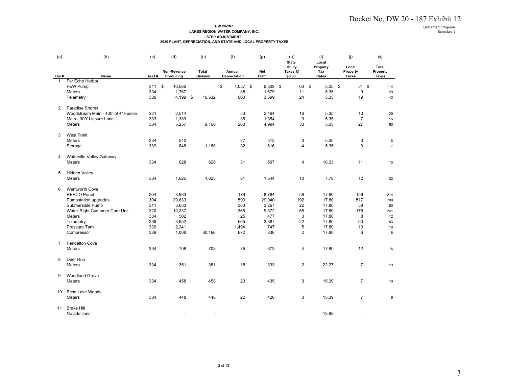#### **DW 20-187 LAKES REGION WATER COMPANY, INC. STEP ADJUSTMENT**

|  | <b>SIEP ADJUSIMENI</b>                                       |  |
|--|--------------------------------------------------------------|--|
|  | 2020 PLANT. DEPRECIATION. AND STATE AND LOCAL PROPERTY TAXES |  |

|                |                                     |            |                          |                          | DW 20-187<br>LAKES REGION WATER COMPANY, INC.<br><b>STEP ADJUSTMENT</b><br>2020 PLANT, DEPRECIATION, AND STATE AND LOCAL PROPERTY TAXES |              |                                    |                          |                                   |                                          | Docket No. DW 20 - 187 Exhibit 12<br>Settlement Proposal<br>Schedule 2 |
|----------------|-------------------------------------|------------|--------------------------|--------------------------|-----------------------------------------------------------------------------------------------------------------------------------------|--------------|------------------------------------|--------------------------|-----------------------------------|------------------------------------------|------------------------------------------------------------------------|
| (a)            | (b)                                 | (c)        | (d)                      | (e)                      | (f)                                                                                                                                     | (g)          | (h)<br><b>State</b>                | (i)<br>Local             | (j)                               | (k)                                      |                                                                        |
| Div#           | Name                                | Acct#      | Non-Revenue<br>Producing | Total<br><b>Division</b> | Annual<br>Depreciation                                                                                                                  | Net<br>Plant | <b>Utility</b><br>Taxes@<br>\$6.60 | Property<br>Tax<br>Rates | Local<br>Property<br><b>Taxes</b> | <b>Total</b><br>Property<br><b>Taxes</b> |                                                                        |
| $\mathbf{1}$   | Far Echo Harbor<br>F&W Pump         | 311        | \$<br>10,566             |                          | \$<br>$1,057$ \$                                                                                                                        | $9,509$ \$   | 63 \$                              | $5.35$ \$                | $51$ \$                           | 114                                      |                                                                        |
|                | Meters                              | 334        | 1,767                    |                          | 88                                                                                                                                      | 1,679        | 11                                 | 5.35                     | $\boldsymbol{9}$                  | 20                                       |                                                                        |
|                | Telemetry                           | 339        | 4,199 \$                 | 16,532                   | 600                                                                                                                                     | 3,599        | 24                                 | 5.35                     | 19                                | 43                                       |                                                                        |
| $\overline{2}$ | Paradise Shores                     |            |                          |                          |                                                                                                                                         |              |                                    |                          |                                   |                                          |                                                                        |
|                | Woodstream Main - 400' of 4" Fusion | 331        | 2,514                    |                          | 50                                                                                                                                      | 2,464        | 16                                 | 5.35                     | 13                                | 29                                       |                                                                        |
|                | Main - 300' Liesure Lane            | 333        | 1,389                    |                          | 35                                                                                                                                      | 1,354        | 9                                  | 5.35                     | $\overline{7}$                    | 16                                       |                                                                        |
|                | Meters                              | 334        | 5,257                    | 9,160                    | 263                                                                                                                                     | 4,994        | 33                                 | 5.35                     | 27                                | 60                                       |                                                                        |
| 3              | <b>West Point</b>                   |            |                          |                          |                                                                                                                                         |              |                                    |                          |                                   |                                          |                                                                        |
|                | Meters                              | 334        | 540                      |                          | 27                                                                                                                                      | 513          | 3                                  | 5.35                     | 3                                 | 6                                        |                                                                        |
|                | Storage                             | 339        | 648                      | 1,188                    | 32                                                                                                                                      | 616          | 4                                  | 5.35                     | 3                                 | $\overline{7}$                           |                                                                        |
| 4              | Waterville Valley Gateway           |            |                          |                          |                                                                                                                                         |              |                                    |                          |                                   |                                          |                                                                        |
|                | Meters                              | 334        | 628                      | 628                      | 31                                                                                                                                      | 597          | 4                                  | 18.33                    | 11                                | 15                                       |                                                                        |
| 5              | <b>Hidden Valley</b>                |            |                          |                          |                                                                                                                                         |              |                                    |                          |                                   |                                          |                                                                        |
|                | Meters                              | 334        | 1,625                    | 1,625                    | 81                                                                                                                                      | 1,544        | 10                                 | 7.78                     | 12                                | 22                                       |                                                                        |
| 6              | <b>Wentworth Cove</b>               |            |                          |                          |                                                                                                                                         |              |                                    |                          |                                   |                                          |                                                                        |
|                | <b>REPCO Panel</b>                  | 304        | 8,963                    |                          | 179                                                                                                                                     | 8,784        | 58                                 | 17.80                    | 156                               | 214                                      |                                                                        |
|                | Pumpstation upgrades                | 304        | 29,633                   |                          | 593                                                                                                                                     | 29,040       | 192                                | 17.80                    | 517                               | 709                                      |                                                                        |
|                | Submersible Pump                    | 311        | 3,630                    |                          | 363                                                                                                                                     | 3,267        | 22                                 | 17.80                    | 58                                | 80                                       |                                                                        |
|                | Water-Right Customer Care Unit      | 320        | 10,237                   |                          | 365                                                                                                                                     | 9,872        | 65                                 | 17.80                    | 176                               | 241                                      |                                                                        |
|                | Meters                              | 334        | 502                      |                          | 25                                                                                                                                      | 477          | 3                                  | 17.80                    | 8                                 | 12                                       |                                                                        |
|                | Telemetry                           | 339        | 3,952                    |                          | 565                                                                                                                                     | 3,387        | 22                                 | 17.80                    | 60                                | 83                                       |                                                                        |
|                | Pressure Tank<br>Compressor         | 339<br>339 | 2,241<br>1,008           | 60,166                   | 1,494<br>672                                                                                                                            | 747<br>336   | 5<br>$\overline{2}$                | 17.80<br>17.80           | 13<br>6                           | 18<br>8                                  |                                                                        |
|                |                                     |            |                          |                          |                                                                                                                                         |              |                                    |                          |                                   |                                          |                                                                        |
| $\overline{7}$ | <b>Pendelton Cove</b><br>Meters     | 334        | 708                      | 708                      | 35                                                                                                                                      | 673          | 4                                  | 17.80                    | 12                                | 16                                       |                                                                        |
|                |                                     |            |                          |                          |                                                                                                                                         |              |                                    |                          |                                   |                                          |                                                                        |
| 8              | Deer Run                            |            |                          |                          |                                                                                                                                         |              |                                    |                          |                                   |                                          |                                                                        |
|                | Meters                              | 334        | 351                      | 351                      | 18                                                                                                                                      | 333          | $\overline{2}$                     | 22.27                    | $\overline{7}$                    | 10                                       |                                                                        |
| 9              | <b>Woodland Grove</b>               |            |                          |                          |                                                                                                                                         |              |                                    |                          |                                   |                                          |                                                                        |
|                | Meters                              | 334        | 458                      | 458                      | 23                                                                                                                                      | 435          | 3                                  | 15.39                    | $\overline{7}$                    | 10                                       |                                                                        |
| 10             | Echo Lake Woods                     |            |                          |                          |                                                                                                                                         |              |                                    |                          |                                   |                                          |                                                                        |
|                | Meters                              | 334        | 448                      | 448                      | 22                                                                                                                                      | 426          | 3                                  | 15.39                    | $\overline{7}$                    | 9                                        |                                                                        |
|                |                                     |            |                          |                          |                                                                                                                                         |              |                                    |                          |                                   |                                          |                                                                        |
|                | 11 Brake Hill<br>No additions       |            |                          |                          |                                                                                                                                         |              |                                    | 13.98                    |                                   |                                          |                                                                        |
|                |                                     |            |                          |                          |                                                                                                                                         |              |                                    |                          |                                   |                                          |                                                                        |
|                |                                     |            |                          |                          |                                                                                                                                         |              |                                    |                          |                                   |                                          |                                                                        |
|                |                                     |            |                          |                          |                                                                                                                                         |              |                                    |                          |                                   |                                          |                                                                        |
|                |                                     |            |                          |                          |                                                                                                                                         |              |                                    |                          |                                   |                                          |                                                                        |
|                |                                     |            |                          |                          |                                                                                                                                         |              |                                    |                          |                                   |                                          |                                                                        |
|                |                                     |            |                          |                          |                                                                                                                                         |              |                                    |                          |                                   |                                          |                                                                        |
|                |                                     |            |                          |                          | 2 of 13                                                                                                                                 |              |                                    |                          |                                   |                                          |                                                                        |
|                |                                     |            |                          |                          |                                                                                                                                         |              |                                    |                          |                                   |                                          | 3                                                                      |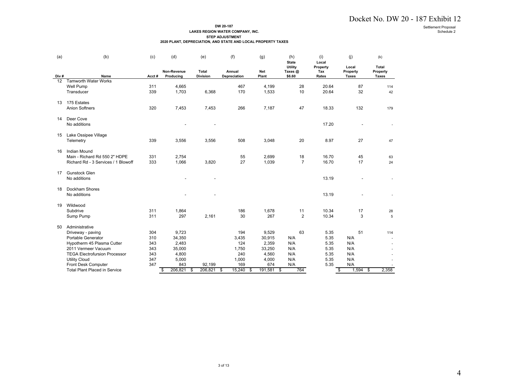#### **DW 20-187LAKES REGION WATER COMPANY, INC.**

|      |                                                                                                                                                                                   |                                               |                                                      |                          | DW 20-187<br>LAKES REGION WATER COMPANY, INC.<br><b>STEP ADJUSTMENT</b><br>2020 PLANT, DEPRECIATION, AND STATE AND LOCAL PROPERTY TAXES |                                                      |                                       |                                              |                                       |                          | Docket No. DW 20 - 187 Exhibit 12<br>Settlement Proposal<br>Schedule 2 |
|------|-----------------------------------------------------------------------------------------------------------------------------------------------------------------------------------|-----------------------------------------------|------------------------------------------------------|--------------------------|-----------------------------------------------------------------------------------------------------------------------------------------|------------------------------------------------------|---------------------------------------|----------------------------------------------|---------------------------------------|--------------------------|------------------------------------------------------------------------|
| (a)  | (b)                                                                                                                                                                               | (c)                                           | (d)                                                  | (e)                      | (f)                                                                                                                                     | (g)                                                  | (h)<br><b>State</b>                   | (i)<br>Local                                 | (j)                                   | (k)<br>Total             |                                                                        |
| Div# | Name                                                                                                                                                                              | Acct#                                         | Non-Revenue<br>Producing                             | Total<br><b>Division</b> | Annual<br>Depreciation                                                                                                                  | Net<br>Plant                                         | <b>Utility</b><br>Taxes@<br>\$6.60    | Property<br>Tax<br>Rates                     | Local<br>Property<br><b>Taxes</b>     | Property<br><b>Taxes</b> |                                                                        |
| 12   | Tamworth Water Works<br>Well Pump<br>Transducer                                                                                                                                   | 311<br>339                                    | 4,665<br>1,703                                       | 6,368                    | 467<br>170                                                                                                                              | 4,199<br>1,533                                       | 28<br>10                              | 20.64<br>20.64                               | 87<br>32                              | 114<br>42                |                                                                        |
|      | 13 175 Estates<br><b>Anion Softners</b>                                                                                                                                           | 320                                           | 7,453                                                | 7,453                    | 266                                                                                                                                     | 7,187                                                | 47                                    | 18.33                                        | 132                                   | 179                      |                                                                        |
|      | 14 Deer Cove<br>No additions                                                                                                                                                      |                                               |                                                      | $\overline{\phantom{a}}$ |                                                                                                                                         |                                                      |                                       | 17.20                                        | $\overline{\phantom{a}}$              |                          |                                                                        |
|      | 15 Lake Ossipee Village<br>Telemetry                                                                                                                                              | 339                                           | 3,556                                                | 3,556                    | 508                                                                                                                                     | 3,048                                                | 20                                    | 8.97                                         | 27                                    | 47                       |                                                                        |
|      | 16 Indian Mound<br>Main - Richard Rd 550 2" HDPE<br>Richard Rd - 3 Services / 1 Blowoff                                                                                           | 331<br>333                                    | 2,754<br>1,066                                       | 3,820                    | 55<br>27                                                                                                                                | 2,699<br>1,039                                       | 18<br>$\overline{7}$                  | 16.70<br>16.70                               | 45<br>17                              | 63<br>24                 |                                                                        |
|      | 17 Gunstock Glen<br>No additions                                                                                                                                                  |                                               |                                                      | $\overline{a}$           |                                                                                                                                         |                                                      |                                       | 13.19                                        |                                       | $\overline{\phantom{a}}$ |                                                                        |
|      | 18 Dockham Shores<br>No additions                                                                                                                                                 |                                               |                                                      | $\overline{a}$           |                                                                                                                                         |                                                      |                                       | 13.19                                        | $\overline{a}$                        | $\overline{a}$           |                                                                        |
|      | 19 Wildwood<br>Subdrive<br>Sump Pump                                                                                                                                              | 311<br>311                                    | 1,864<br>297                                         | 2,161                    | 186<br>30                                                                                                                               | 1,678<br>267                                         | 11<br>$\overline{2}$                  | 10.34<br>10.34                               | 17<br>3                               | 28<br>$\sqrt{5}$         |                                                                        |
|      | 50 Administrative<br>Driveway - paving<br>Portable Generator<br>Hypotherm 45 Plasma Cutter<br>2011 Vermeer Vacuum<br><b>TEGA Electrofursion Processor</b><br><b>Utility Cloud</b> | 304<br>310<br>343<br>343<br>343<br>347<br>347 | 9,723<br>34,350<br>2,483<br>35,000<br>4,800<br>5,000 |                          | 194<br>3,435<br>124<br>1,750<br>240<br>1,000                                                                                            | 9,529<br>30,915<br>2,359<br>33,250<br>4,560<br>4,000 | 63<br>N/A<br>N/A<br>N/A<br>N/A<br>N/A | 5.35<br>5.35<br>5.35<br>5.35<br>5.35<br>5.35 | 51<br>N/A<br>N/A<br>N/A<br>N/A<br>N/A | 114                      |                                                                        |
|      | Front Desk Computer<br><b>Total Plant Placed in Service</b>                                                                                                                       |                                               | 843<br>206,821<br>\$                                 | 92,199<br>206,821<br>\$  | 169<br>15,240<br>\$<br>\$                                                                                                               | 674<br>191,581 \$                                    | N/A<br>764                            | 5.35                                         | N/A<br>\$<br>$1,594$ \$               | 2,358                    |                                                                        |
|      |                                                                                                                                                                                   |                                               |                                                      |                          |                                                                                                                                         |                                                      |                                       |                                              |                                       |                          |                                                                        |
|      |                                                                                                                                                                                   |                                               |                                                      |                          |                                                                                                                                         |                                                      |                                       |                                              |                                       |                          |                                                                        |
|      |                                                                                                                                                                                   |                                               |                                                      |                          | 3 of 13                                                                                                                                 |                                                      |                                       |                                              |                                       |                          | 4                                                                      |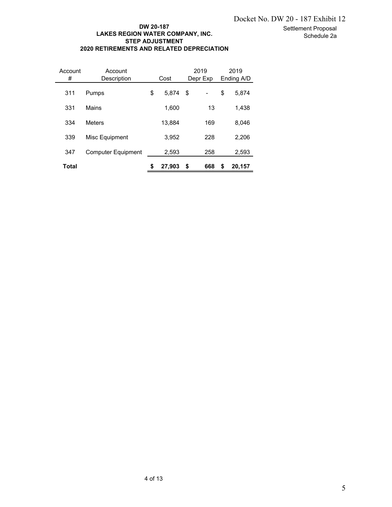#### Settlement Proposal Schedule 2a

## **DW 20-187 LAKES REGION WATER COMPANY, INC. STEP ADJUSTMENT 2020 RETIREMENTS AND RELATED DEPRECIATION**

| LAKES REGION WATER COMPANY, INC.<br><b>STEP ADJUSTMENT</b><br>2020 RETIREMENTS AND RELATED DEPRECIATION<br>Account<br>Account |                           |         | DW 20-187 |                            |                              | Docket No. DW 20 - 187 Exhibit 12 |                    | Settlement Proposal<br>Schedule 2a |  |   |
|-------------------------------------------------------------------------------------------------------------------------------|---------------------------|---------|-----------|----------------------------|------------------------------|-----------------------------------|--------------------|------------------------------------|--|---|
| $\#$                                                                                                                          | Description               |         | Cost      |                            | 2019<br>Depr Exp             |                                   | 2019<br>Ending A/D |                                    |  |   |
| 311                                                                                                                           | Pumps                     | \$      | 5,874     | $\boldsymbol{\mathsf{\$}}$ | $\qquad \qquad \blacksquare$ | \$                                | 5,874              |                                    |  |   |
| 331                                                                                                                           | Mains                     |         | 1,600     |                            | 13                           |                                   | 1,438              |                                    |  |   |
| 334                                                                                                                           | Meters                    |         | 13,884    |                            | 169                          |                                   | 8,046              |                                    |  |   |
| 339                                                                                                                           | Misc Equipment            |         | 3,952     |                            | 228                          |                                   | 2,206              |                                    |  |   |
| 347                                                                                                                           | <b>Computer Equipment</b> |         | 2,593     |                            | 258                          |                                   | 2,593              |                                    |  |   |
| <b>Total</b>                                                                                                                  |                           | \$      | 27,903 \$ |                            | 668                          | \$                                | 20,157             |                                    |  |   |
|                                                                                                                               |                           |         |           |                            |                              |                                   |                    |                                    |  |   |
|                                                                                                                               |                           | 4 of 13 |           |                            |                              |                                   |                    |                                    |  | 5 |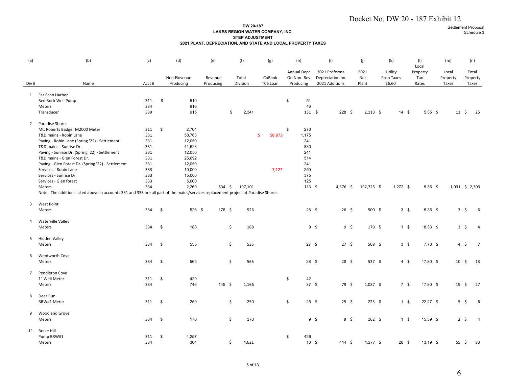#### **DW 20-187 LAKES REGION WATER COMPANY, INC. STEP ADJUSTMENT2021 PLANT, DEPRECIATION, AND STATE AND LOCAL PROPERTY TAXES**

|                |                                                                                                                                     |            |            |                  |                                                              |                                                                         |              |                                   |                |                  |             |                       | Docket No. DW 20 - 187 Exhibit 12 |                    |                   |                |
|----------------|-------------------------------------------------------------------------------------------------------------------------------------|------------|------------|------------------|--------------------------------------------------------------|-------------------------------------------------------------------------|--------------|-----------------------------------|----------------|------------------|-------------|-----------------------|-----------------------------------|--------------------|-------------------|----------------|
|                |                                                                                                                                     |            |            |                  | 2021 PLANT, DEPRECIATION, AND STATE AND LOCAL PROPERTY TAXES | DW 20-187<br>LAKES REGION WATER COMPANY, INC.<br><b>STEP ADJUSTMENT</b> |              |                                   |                |                  |             |                       |                                   | Settlement Proposa | Schedule          |                |
| (a)            | (b)                                                                                                                                 | (c)        |            | (d)              | (e)                                                          | (f)                                                                     | (g)          | (h)                               |                | (i)              | (j)         | (k)                   | (1)                               | (m)                | (n)               |                |
|                |                                                                                                                                     |            |            |                  |                                                              |                                                                         |              |                                   |                | 2021 Proforma    |             |                       | Local                             |                    |                   |                |
|                |                                                                                                                                     |            |            | Non-Revenue      | Revenue                                                      | Total                                                                   | CoBank       | <b>Annual Depr</b><br>On Non-Rev. |                | Depreciation on  | 2021<br>Net | Utility<br>Prop Taxes | Property<br>Tax                   | Local<br>Property  | Total<br>Property |                |
| Div #          | Name                                                                                                                                | Acct #     |            | Producing        | Producing                                                    | Division                                                                | T06 Loan     | Producing                         |                | 2021 Additions   | Plant       | \$6.60                | Rates                             | Taxes              | Taxes             |                |
|                | 1 Far Echo Harbor                                                                                                                   |            |            |                  |                                                              |                                                                         |              |                                   |                |                  |             |                       |                                   |                    |                   |                |
|                | Bed Rock Well Pump                                                                                                                  | 311        | $\sqrt{3}$ | 510              |                                                              |                                                                         |              | \$<br>51                          |                |                  |             |                       |                                   |                    |                   |                |
|                | Meters                                                                                                                              | 334        |            | 916              |                                                              |                                                                         |              | 46                                |                |                  |             |                       |                                   |                    |                   |                |
|                | Transducer                                                                                                                          | 339        |            | 915              |                                                              | \$<br>2,341                                                             |              | 131 \$                            |                | $228 \;$ \$      | $2,113$ \$  | $14 \quad $$          | 5.35 \$                           | $11 \; \text{S}$   |                   | - 25           |
| $\overline{2}$ | Paradise Shores                                                                                                                     |            |            |                  |                                                              |                                                                         |              |                                   |                |                  |             |                       |                                   |                    |                   |                |
|                | Mt. Roberts Badger M2000 Meter                                                                                                      | 311        | $\sqrt{3}$ | 2,704            |                                                              |                                                                         |              | \$<br>270                         |                |                  |             |                       |                                   |                    |                   |                |
|                | T&D mains - Robin Lane                                                                                                              | 331        |            | 58,763           |                                                              |                                                                         | \$<br>58,873 | 1,175                             |                |                  |             |                       |                                   |                    |                   |                |
|                | Paving - Robin Lane (Spring '22) - Settlement                                                                                       | 331        |            | 12,050           |                                                              |                                                                         |              | 241                               |                |                  |             |                       |                                   |                    |                   |                |
|                | T&D mains - Sunrise Dr.                                                                                                             | 331        |            | 41,523           |                                                              |                                                                         |              | 830                               |                |                  |             |                       |                                   |                    |                   |                |
|                | Paving - Sunrise Dr. (Spring '22) - Settlement<br>T&D mains - Glen Forest Dr.                                                       | 331        |            | 12,050           |                                                              |                                                                         |              | 241                               |                |                  |             |                       |                                   |                    |                   |                |
|                | Paving - Glen Forest Dr. (Spring '22) - Settlement                                                                                  | 331<br>331 |            | 25,692<br>12,050 |                                                              |                                                                         |              | 514<br>241                        |                |                  |             |                       |                                   |                    |                   |                |
|                | Services - Robin Lane                                                                                                               | 333        |            | 10,000           |                                                              |                                                                         | 7,127        | 250                               |                |                  |             |                       |                                   |                    |                   |                |
|                | Services - Sunrise Dr.                                                                                                              | 333        |            | 15,000           |                                                              |                                                                         |              | 375                               |                |                  |             |                       |                                   |                    |                   |                |
|                | Services - Glen forest                                                                                                              | 333        |            | 5,000            |                                                              |                                                                         |              | 125                               |                |                  |             |                       |                                   |                    |                   |                |
|                | Meters                                                                                                                              | 334        |            | 2,269            | 534 \$                                                       | 197,101                                                                 |              | $113 \quad $5$                    |                | 4,376 \$         | 192,725 \$  | $1,272$ \$            | 5.35 \$                           | 1,031 \$ 2,303     |                   |                |
|                | Note: The additions listed above in accounts 331 and 333 are all part of the mains/services replacement project at Paradise Shores. |            |            |                  |                                                              |                                                                         |              |                                   |                |                  |             |                       |                                   |                    |                   |                |
| 3              | West Point                                                                                                                          |            |            |                  |                                                              |                                                                         |              |                                   |                |                  |             |                       |                                   |                    |                   |                |
|                | Meters                                                                                                                              | 334        | $\sqrt{3}$ | 526 \$           | 176 \$                                                       | 526                                                                     |              | $26 \quad $$                      |                | $26 \quad $$     | 500 \$      | $3 \quad$             | 5.35 \$                           |                    | $3\frac{1}{2}$    | 6              |
| 4              | <b>Waterville Valley</b>                                                                                                            |            |            |                  |                                                              |                                                                         |              |                                   |                |                  |             |                       |                                   |                    |                   |                |
|                | Meters                                                                                                                              | 334        | $\sqrt{3}$ | 188              |                                                              | \$<br>188                                                               |              |                                   | $9\frac{2}{3}$ | $9 \quad$ \$     | 179 \$      | $1 \quad$             | $18.33 \div$                      |                    | $3\frac{1}{2}$    | $\overline{4}$ |
|                |                                                                                                                                     |            |            |                  |                                                              |                                                                         |              |                                   |                |                  |             |                       |                                   |                    |                   |                |
| 5              | <b>Hidden Valley</b>                                                                                                                |            |            |                  |                                                              |                                                                         |              |                                   |                |                  |             |                       |                                   |                    |                   |                |
|                | Meters                                                                                                                              | 334        | $\sqrt{3}$ | 535              |                                                              | \$<br>535                                                               |              | $27 \quad $$                      |                | $27 \frac{2}{3}$ | 508 \$      | $3 \quad$             | $7.78 \;$ \$                      |                    | $4\frac{1}{2}$    | $\overline{7}$ |
| 6              |                                                                                                                                     |            |            |                  |                                                              |                                                                         |              |                                   |                |                  |             |                       |                                   |                    |                   |                |
|                | Wentworth Cove<br>Meters                                                                                                            | 334        | \$         | 565              |                                                              | \$<br>565                                                               |              | $28 \; \xi$                       |                | $28 \; \xi$      | 537 \$      | $4 \quad$             | $17.80 \div$                      |                    | $10 \pm$          | 13             |
|                |                                                                                                                                     |            |            |                  |                                                              |                                                                         |              |                                   |                |                  |             |                       |                                   |                    |                   |                |
| $\overline{7}$ | Pendleton Cove                                                                                                                      |            |            |                  |                                                              |                                                                         |              |                                   |                |                  |             |                       |                                   |                    |                   |                |
|                | 1" Well Meter                                                                                                                       | 311        | $\sqrt{3}$ | 420              |                                                              |                                                                         |              | \$<br>42                          |                |                  |             |                       |                                   |                    |                   |                |
|                | Meters                                                                                                                              | 334        |            | 746              | 145 \$                                                       | 1,166                                                                   |              | $37 \quad$ \$                     |                | 79\$             | 1,087 \$    | 7\$                   | 17.80 \$                          | $19 \quad$ \$      |                   | 27             |
| 8              | Deer Run                                                                                                                            |            |            |                  |                                                              |                                                                         |              |                                   |                |                  |             |                       |                                   |                    |                   |                |
|                | BRW#1 Meter                                                                                                                         | 311        | \$         | 250              |                                                              | \$<br>250                                                               |              | \$<br>$25 \; \xi$                 |                | $25 \quad $$     | 225 \$      | $1 \quad$             | $22.27$ \$                        |                    | $5 \div$          | 6              |
|                |                                                                                                                                     |            |            |                  |                                                              |                                                                         |              |                                   |                |                  |             |                       |                                   |                    |                   |                |
|                | 9 Woodland Grove                                                                                                                    |            |            |                  |                                                              |                                                                         |              |                                   |                |                  |             |                       |                                   |                    |                   |                |
|                | Meters                                                                                                                              | 334 \$     |            | 170              |                                                              | \$<br>170                                                               |              |                                   | $9\frac{2}{3}$ | $9 \quad$ \$     | 162 \$      | $1 \quad$             | 15.39 \$                          |                    | $2 \div$          | $\overline{4}$ |
| 11             | <b>Brake Hill</b>                                                                                                                   |            |            |                  |                                                              |                                                                         |              |                                   |                |                  |             |                       |                                   |                    |                   |                |
|                | Pump BRW#1                                                                                                                          | 311 \$     |            | 4,257            |                                                              |                                                                         |              | \$<br>426                         |                |                  |             |                       |                                   |                    |                   |                |
|                | Meters                                                                                                                              | 334        |            | 364              |                                                              | \$<br>4,621                                                             |              | $18 \quad $$                      |                | 444 \$           | $4,177$ \$  | 28 \$                 | $13.19 \pm$                       |                    | $55 \div 83$      |                |
|                |                                                                                                                                     |            |            |                  |                                                              |                                                                         |              |                                   |                |                  |             |                       |                                   |                    |                   |                |
|                |                                                                                                                                     |            |            |                  |                                                              |                                                                         |              |                                   |                |                  |             |                       |                                   |                    |                   |                |
|                |                                                                                                                                     |            |            |                  |                                                              | 5 of 13                                                                 |              |                                   |                |                  |             |                       |                                   |                    |                   |                |
|                |                                                                                                                                     |            |            |                  |                                                              |                                                                         |              |                                   |                |                  |             |                       |                                   | 6                  |                   |                |
|                |                                                                                                                                     |            |            |                  |                                                              |                                                                         |              |                                   |                |                  |             |                       |                                   |                    |                   |                |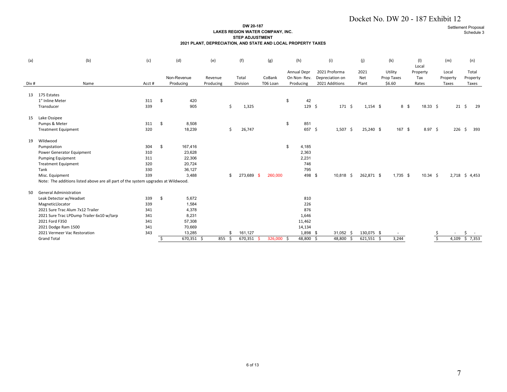#### **DW 20-187 LAKES REGION WATER COMPANY, INC. STEP ADJUSTMENT2021 PLANT, DEPRECIATION, AND STATE AND LOCAL PROPERTY TAXES**

|       |                                                                                   |            |            |                 |                                                              |                                                                         |            |                            |                                  | Docket No. DW 20 - 187 Exhibit 12 |                       |      |                          |               |                    |                        |  |
|-------|-----------------------------------------------------------------------------------|------------|------------|-----------------|--------------------------------------------------------------|-------------------------------------------------------------------------|------------|----------------------------|----------------------------------|-----------------------------------|-----------------------|------|--------------------------|---------------|--------------------|------------------------|--|
|       |                                                                                   |            |            |                 | 2021 PLANT, DEPRECIATION, AND STATE AND LOCAL PROPERTY TAXES | DW 20-187<br>LAKES REGION WATER COMPANY, INC.<br><b>STEP ADJUSTMENT</b> |            |                            |                                  |                                   |                       |      |                          |               | Settlement Proposa | Schedule 3             |  |
| (a)   | (b)                                                                               | (c)        |            | (d)             | (e)                                                          | (f)                                                                     | (g)        | (h)                        | (i)                              | (j)                               | (k)                   |      | (1)                      |               | (m)                | (n)                    |  |
|       |                                                                                   |            |            | Non-Revenue     | Revenue                                                      | Total                                                                   | CoBank     | Annual Depr<br>On Non-Rev. | 2021 Proforma<br>Depreciation on | 2021<br>Net                       | Utility<br>Prop Taxes |      | Local<br>Property<br>Tax |               | Local<br>Property  | Total<br>Property      |  |
| Div # | Name                                                                              | Acct #     |            | Producing       | Producing                                                    | Division                                                                | T06 Loan   | Producing                  | 2021 Additions                   | Plant                             | \$6.60                |      | Rates                    |               | Taxes              | Taxes                  |  |
|       | 13 175 Estates                                                                    |            |            |                 |                                                              |                                                                         |            |                            |                                  |                                   |                       |      |                          |               |                    |                        |  |
|       | 1" Inline Meter                                                                   | 311        | $\sqrt{5}$ | 420             |                                                              |                                                                         |            | \$<br>42                   |                                  |                                   |                       |      |                          |               |                    |                        |  |
|       | Transducer                                                                        | 339        |            | 905             |                                                              | \$<br>1,325                                                             |            | 129 \$                     | $171 \; \text{S}$                | $1,154$ \$                        |                       | 8 \$ | $18.33 \quad $$          |               |                    | $21 \; \text{S}$<br>29 |  |
|       | 15 Lake Ossipee                                                                   |            |            |                 |                                                              |                                                                         |            |                            |                                  |                                   |                       |      |                          |               |                    |                        |  |
|       | Pumps & Meter                                                                     | 311        | $\sqrt{5}$ | 8,508           |                                                              |                                                                         |            | \$<br>851                  |                                  |                                   |                       |      |                          |               |                    |                        |  |
|       | <b>Treatment Equipment</b>                                                        | 320        |            | 18,239          |                                                              | \$<br>26,747                                                            |            | 657 \$                     | $1,507$ \$                       | 25,240 \$                         | 167 \$                |      | $8.97$ \$                |               |                    | 226 \$ 393             |  |
|       | 19 Wildwood                                                                       |            |            |                 |                                                              |                                                                         |            |                            |                                  |                                   |                       |      |                          |               |                    |                        |  |
|       | Pumpstation                                                                       | 304        | $\sqrt{5}$ | 167,416         |                                                              |                                                                         |            | \$<br>4,185                |                                  |                                   |                       |      |                          |               |                    |                        |  |
|       | Power Generator Equipment                                                         | 310        |            | 23,628          |                                                              |                                                                         |            | 2,363                      |                                  |                                   |                       |      |                          |               |                    |                        |  |
|       | <b>Pumping Equipment</b>                                                          | 311        |            | 22,306          |                                                              |                                                                         |            | 2,231                      |                                  |                                   |                       |      |                          |               |                    |                        |  |
|       | <b>Treatment Equipment</b>                                                        | 320        |            | 20,724          |                                                              |                                                                         |            | 746                        |                                  |                                   |                       |      |                          |               |                    |                        |  |
|       | Tank<br>Misc. Equipment                                                           | 330<br>339 |            | 36,127<br>3,488 |                                                              | \$<br>273,689 \$                                                        | 260,000    | 795<br>498 \$              | $10,818$ \$                      | 262,871 \$                        | $1,735$ \$            |      | $10.34 \div$             |               |                    | 2,718 \$ 4,453         |  |
|       | Note: The additions listed above are all part of the system upgrades at Wildwood. |            |            |                 |                                                              |                                                                         |            |                            |                                  |                                   |                       |      |                          |               |                    |                        |  |
|       |                                                                                   |            |            |                 |                                                              |                                                                         |            |                            |                                  |                                   |                       |      |                          |               |                    |                        |  |
| 50    | <b>General Administration</b>                                                     |            |            |                 |                                                              |                                                                         |            |                            |                                  |                                   |                       |      |                          |               |                    |                        |  |
|       | Leak Detector w/Headset                                                           | 339        | $\sqrt{5}$ | 5,672           |                                                              |                                                                         |            | 810                        |                                  |                                   |                       |      |                          |               |                    |                        |  |
|       | MagneticLlocator<br>2021 Sure Trac Alum 7x12 Trailer                              | 339<br>341 |            | 1,584<br>4,378  |                                                              |                                                                         |            | 226<br>876                 |                                  |                                   |                       |      |                          |               |                    |                        |  |
|       | 2021 Sure Trac LPDump Trailer 6x10 w/tarp                                         | 341        |            | 8,231           |                                                              |                                                                         |            | 1,646                      |                                  |                                   |                       |      |                          |               |                    |                        |  |
|       | 2021 Ford F350                                                                    | 341        |            | 57,308          |                                                              |                                                                         |            | 11,462                     |                                  |                                   |                       |      |                          |               |                    |                        |  |
|       | 2021 Dodge Ram 1500                                                               | 341        |            | 70,669          |                                                              |                                                                         |            | 14,134                     |                                  |                                   |                       |      |                          |               |                    |                        |  |
|       | 2021 Vermeer Vac Restoration                                                      | 343        |            | 13,285          |                                                              | \$<br>161,127                                                           |            | 1,898 \$                   | $31,052$ \$                      | 130,075 \$                        | $\sim$                |      |                          |               |                    | \$.                    |  |
|       | <b>Grand Total</b>                                                                |            | \$         | 670,351 \$      | 855 \$                                                       | 670,351 \$                                                              | 326,000 \$ | 48,800 \$                  | 48,800 \$                        | $621,551$ \$                      | 3,244                 |      |                          | $\frac{5}{5}$ |                    | 4,109 \$ 7,353         |  |
|       |                                                                                   |            |            |                 |                                                              |                                                                         |            |                            |                                  |                                   |                       |      |                          |               |                    |                        |  |
|       |                                                                                   |            |            |                 |                                                              |                                                                         |            |                            |                                  |                                   |                       |      |                          |               |                    |                        |  |
|       |                                                                                   |            |            |                 |                                                              |                                                                         |            |                            |                                  |                                   |                       |      |                          |               |                    |                        |  |
|       |                                                                                   |            |            |                 |                                                              |                                                                         |            |                            |                                  |                                   |                       |      |                          |               |                    |                        |  |
|       |                                                                                   |            |            |                 |                                                              |                                                                         |            |                            |                                  |                                   |                       |      |                          |               |                    |                        |  |
|       |                                                                                   |            |            |                 |                                                              |                                                                         |            |                            |                                  |                                   |                       |      |                          |               |                    |                        |  |
|       |                                                                                   |            |            |                 |                                                              |                                                                         |            |                            |                                  |                                   |                       |      |                          |               |                    |                        |  |
|       |                                                                                   |            |            |                 |                                                              |                                                                         |            |                            |                                  |                                   |                       |      |                          |               |                    |                        |  |
|       |                                                                                   |            |            |                 |                                                              |                                                                         |            |                            |                                  |                                   |                       |      |                          |               |                    |                        |  |
|       |                                                                                   |            |            |                 |                                                              |                                                                         |            |                            |                                  |                                   |                       |      |                          |               |                    |                        |  |
|       |                                                                                   |            |            |                 |                                                              |                                                                         |            |                            |                                  |                                   |                       |      |                          |               |                    |                        |  |
|       |                                                                                   |            |            |                 |                                                              |                                                                         |            |                            |                                  |                                   |                       |      |                          |               |                    |                        |  |
|       |                                                                                   |            |            |                 |                                                              |                                                                         |            |                            |                                  |                                   |                       |      |                          |               |                    |                        |  |
|       |                                                                                   |            |            |                 |                                                              |                                                                         |            |                            |                                  |                                   |                       |      |                          |               |                    |                        |  |
|       |                                                                                   |            |            |                 |                                                              |                                                                         |            |                            |                                  |                                   |                       |      |                          |               |                    |                        |  |
|       |                                                                                   |            |            |                 |                                                              |                                                                         |            |                            |                                  |                                   |                       |      |                          |               |                    |                        |  |
|       |                                                                                   |            |            |                 |                                                              |                                                                         |            |                            |                                  |                                   |                       |      |                          |               |                    |                        |  |
|       |                                                                                   |            |            |                 |                                                              |                                                                         |            |                            |                                  |                                   |                       |      |                          |               |                    |                        |  |
|       |                                                                                   |            |            |                 |                                                              |                                                                         |            |                            |                                  |                                   |                       |      |                          |               |                    |                        |  |
|       |                                                                                   |            |            |                 |                                                              | 6 of 13                                                                 |            |                            |                                  |                                   |                       |      |                          |               |                    |                        |  |
|       |                                                                                   |            |            |                 |                                                              |                                                                         |            |                            |                                  |                                   |                       |      |                          |               | 7                  |                        |  |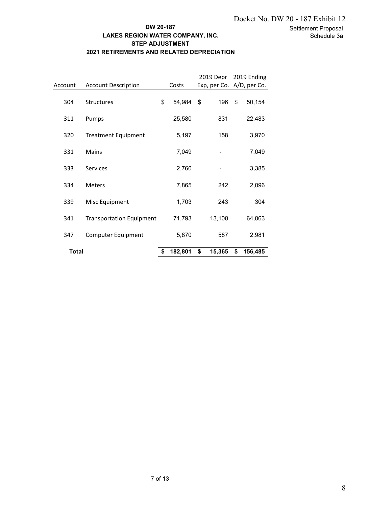## **DW 20-187 LAKES REGION WATER COMPANY, INC. STEP ADJUSTMENT 2021 RETIREMENTS AND RELATED DEPRECIATION**

|              | DW 20-187<br>LAKES REGION WATER COMPANY, INC.<br><b>STEP ADJUSTMENT</b><br>2021 RETIREMENTS AND RELATED DEPRECIATION |         |         |      |                          |       |                                                    | Docket No. DW 20 - 187 Exhibit 12<br>Settlement Proposal<br>Schedule 3a |
|--------------|----------------------------------------------------------------------------------------------------------------------|---------|---------|------|--------------------------|-------|----------------------------------------------------|-------------------------------------------------------------------------|
| Account      | <b>Account Description</b>                                                                                           |         | Costs   |      |                          |       | 2019 Depr 2019 Ending<br>Exp, per Co. A/D, per Co. |                                                                         |
| 304          | Structures                                                                                                           | \$      | 54,984  | $\,$ | 196                      | $\$\$ | 50,154                                             |                                                                         |
| 311          | Pumps                                                                                                                |         | 25,580  |      | 831                      |       | 22,483                                             |                                                                         |
| 320          | <b>Treatment Equipment</b>                                                                                           |         | 5,197   |      | 158                      |       | 3,970                                              |                                                                         |
| 331          | Mains                                                                                                                |         | 7,049   |      | $\overline{\phantom{m}}$ |       | 7,049                                              |                                                                         |
| 333          | Services                                                                                                             |         | 2,760   |      | $\overline{\phantom{a}}$ |       | 3,385                                              |                                                                         |
| 334          | Meters                                                                                                               |         | 7,865   |      | 242                      |       | 2,096                                              |                                                                         |
| 339          | Misc Equipment                                                                                                       |         | 1,703   |      | 243                      |       | 304                                                |                                                                         |
| 341          | <b>Transportation Equipment</b>                                                                                      |         | 71,793  |      | 13,108                   |       | 64,063                                             |                                                                         |
| 347          | Computer Equipment                                                                                                   |         | 5,870   |      | 587                      |       | 2,981                                              |                                                                         |
| <b>Total</b> |                                                                                                                      | \$      | 182,801 | \$   | $15,365$ \$              |       | 156,485                                            |                                                                         |
|              |                                                                                                                      |         |         |      |                          |       |                                                    |                                                                         |
|              |                                                                                                                      |         |         |      |                          |       |                                                    |                                                                         |
|              |                                                                                                                      | 7 of 13 |         |      |                          |       |                                                    | 8                                                                       |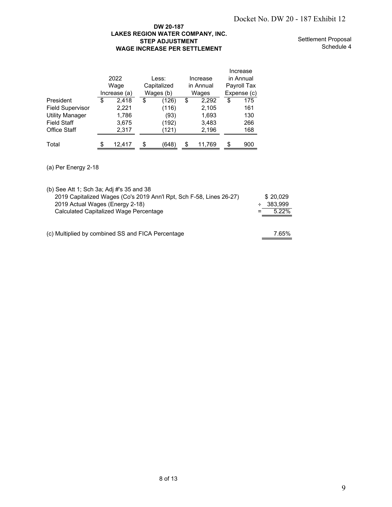## **DW 20-187 LAKES REGION WATER COMPANY, INC. STEP ADJUSTMENT WAGE INCREASE PER SETTLEMENT**

Settlement Proposal Schedule 4

|                         |   | 2022<br>Wage<br>Increase (a) |    | Less:<br>Capitalized<br>Wages (b) | Increase<br>in Annual<br>Wages | Increase<br>in Annual<br>Payroll Tax<br>Expense (c) |
|-------------------------|---|------------------------------|----|-----------------------------------|--------------------------------|-----------------------------------------------------|
| President               | S | 2,418                        | S  | (126)                             | \$<br>2,292                    | \$<br>175                                           |
| <b>Field Supervisor</b> |   | 2,221                        |    | (116)                             | 2,105                          | 161                                                 |
| <b>Utility Manager</b>  |   | 1,786                        |    | (93)                              | 1,693                          | 130                                                 |
| <b>Field Staff</b>      |   | 3,675                        |    | (192)                             | 3,483                          | 266                                                 |
| <b>Office Staff</b>     |   | 2,317                        |    | (121)                             | 2,196                          | 168                                                 |
| Total                   | S | 12,417                       | \$ | (648)                             | \$<br>11,769                   | \$<br>900                                           |

|                                                                                                               |                                                                                                                                                  |                                                                                                                         |                                                                                                   |                                                                                                                                |                                            | Docket No. DW 20 - 187 Exhibit 12 |
|---------------------------------------------------------------------------------------------------------------|--------------------------------------------------------------------------------------------------------------------------------------------------|-------------------------------------------------------------------------------------------------------------------------|---------------------------------------------------------------------------------------------------|--------------------------------------------------------------------------------------------------------------------------------|--------------------------------------------|-----------------------------------|
|                                                                                                               |                                                                                                                                                  | DW 20-187<br>LAKES REGION WATER COMPANY, INC.<br><b>STEP ADJUSTMENT</b><br><b>WAGE INCREASE PER SETTLEMENT</b>          |                                                                                                   |                                                                                                                                |                                            | Settlement Propos<br>Schedule     |
| President<br><b>Field Supervisor</b><br><b>Utility Manager</b><br><b>Field Staff</b><br>Office Staff<br>Total | 2022<br>Wage<br>Increase (a)<br>\$<br>2,418<br>2,221<br>1,786<br>3,675<br>2,317<br>\$<br>12,417                                                  | Less:<br>Capitalized<br>Wages (b)<br>$\overline{\mathbf{e}}$<br>(126)<br>(116)<br>(93)<br>(192)<br>(121)<br>(648)<br>\$ | Increase<br>in Annual<br>Wages<br>\$<br>2,292<br>2,105<br>1,693<br>3,483<br>2,196<br>11,769<br>\$ | Increase<br>in Annual<br>Payroll Tax<br>Expense (c)<br>$\overline{\mathbf{e}}$<br>175<br>161<br>130<br>266<br>168<br>900<br>\$ |                                            |                                   |
| (a) Per Energy 2-18                                                                                           |                                                                                                                                                  |                                                                                                                         |                                                                                                   |                                                                                                                                |                                            |                                   |
| (b) See Att 1; Sch 3a; Adj #'s 35 and 38<br>(c) Multiplied by combined SS and FICA Percentage                 | 2019 Capitalized Wages (Co's 2019 Ann'l Rpt, Sch F-58, Lines 26-27)<br>2019 Actual Wages (Energy 2-18)<br>Calculated Capitalized Wage Percentage |                                                                                                                         |                                                                                                   | $=$                                                                                                                            | \$20,029<br>383,999<br>÷<br>5.22%<br>7.65% |                                   |
|                                                                                                               |                                                                                                                                                  |                                                                                                                         |                                                                                                   |                                                                                                                                |                                            |                                   |
|                                                                                                               |                                                                                                                                                  |                                                                                                                         |                                                                                                   |                                                                                                                                |                                            |                                   |
|                                                                                                               |                                                                                                                                                  |                                                                                                                         |                                                                                                   |                                                                                                                                |                                            |                                   |
|                                                                                                               |                                                                                                                                                  |                                                                                                                         |                                                                                                   |                                                                                                                                |                                            |                                   |
|                                                                                                               |                                                                                                                                                  |                                                                                                                         |                                                                                                   |                                                                                                                                |                                            |                                   |
|                                                                                                               |                                                                                                                                                  |                                                                                                                         |                                                                                                   |                                                                                                                                |                                            |                                   |
|                                                                                                               |                                                                                                                                                  | 8 of 13                                                                                                                 |                                                                                                   |                                                                                                                                |                                            | 9                                 |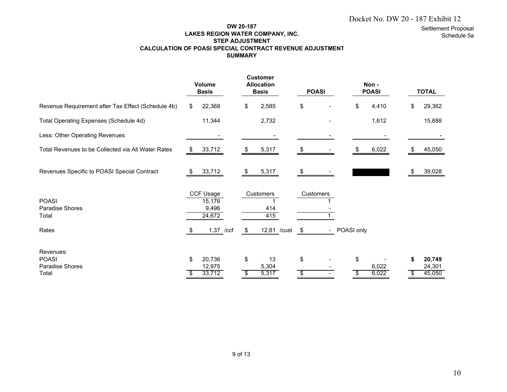## Docket No. DW 20 - 187 Exhibit 12

Settlement Proposal

Schedule 5a

#### **DW 20-187 LAKES REGION WATER COMPANY, INC. STEP ADJUSTMENT CALCULATION OF POASI SPECIAL CONTRACT REVENUE ADJUSTMENT SUMMARY**

|                                                    | <b>Volume</b><br><b>Basis</b> |                                        |    | <b>Customer</b><br><b>Allocation</b><br><b>Basis</b> |    | <b>POASI</b>             |            | Non-<br><b>POASI</b> |    | <b>TOTAL</b>     |
|----------------------------------------------------|-------------------------------|----------------------------------------|----|------------------------------------------------------|----|--------------------------|------------|----------------------|----|------------------|
| Revenue Requirement after Tax Effect (Schedule 4b) | \$                            | 22,368                                 | \$ | 2,585                                                | \$ |                          | \$         | 4,410                | \$ | 29,362           |
| Total Operating Expenses (Schedule 4d)             |                               | 11,344                                 |    | 2,732                                                |    |                          |            | 1,612                |    | 15,688           |
| Less: Other Operating Revenues                     |                               |                                        |    |                                                      |    |                          |            |                      |    |                  |
| Total Revenues to be Collected via All Water Rates |                               | 33,712                                 | S  | 5,317                                                | S  |                          | S.         | 6,022                | S  | 45,050           |
| Revenues Specific to POASI Special Contract        |                               | 33,712                                 |    | 5,317                                                |    |                          |            |                      | æ. | 39,028           |
| <b>POASI</b><br><b>Paradise Shores</b><br>Total    |                               | CCF Usage<br>15,176<br>9,496<br>24,672 |    | Customers<br>414<br>415                              |    | Customers                |            |                      |    |                  |
| Rates                                              | -SS                           | 1.37 /ccf                              | \$ | 12.81 / cust \$                                      |    | $\overline{\phantom{0}}$ | POASI only |                      |    |                  |
| Revenues:<br><b>POASI</b>                          | \$                            | 20,736                                 | \$ | 13                                                   | \$ |                          | \$         |                      | \$ | 20,749           |
| Paradise Shores<br>Total                           | S                             | 12,975<br>33,712                       | \$ | 5,304<br>5,317                                       | \$ |                          | \$         | 6,022<br>6,022       | \$ | 24,301<br>45,050 |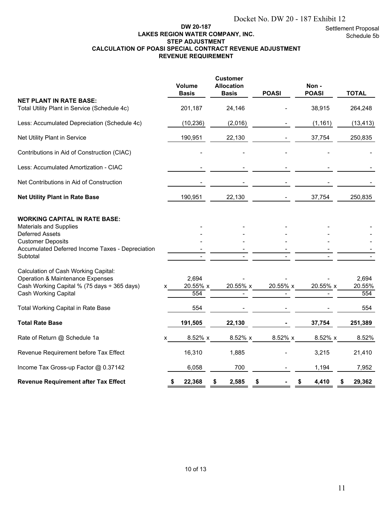Settlement Proposal Schedule 5b

## **DW 20-187 LAKES REGION WATER COMPANY, INC. STEP ADJUSTMENT CALCULATION OF POASI SPECIAL CONTRACT REVENUE ADJUSTMENT REVENUE REQUIREMENT**

| Docket No. DW 20 - 187 Exhibit 12<br>DW 20-187<br>Settlement Proposa<br>LAKES REGION WATER COMPANY, INC.<br>Schedule 5<br><b>STEP ADJUSTMENT</b><br>CALCULATION OF POASI SPECIAL CONTRACT REVENUE ADJUSTMENT<br><b>REVENUE REQUIREMENT</b> |                          |                                                      |              |                      |                        |  |
|--------------------------------------------------------------------------------------------------------------------------------------------------------------------------------------------------------------------------------------------|--------------------------|------------------------------------------------------|--------------|----------------------|------------------------|--|
|                                                                                                                                                                                                                                            | Volume<br><b>Basis</b>   | <b>Customer</b><br><b>Allocation</b><br><b>Basis</b> | <b>POASI</b> | Non-<br><b>POASI</b> | <b>TOTAL</b>           |  |
| <b>NET PLANT IN RATE BASE:</b><br>Total Utility Plant in Service (Schedule 4c)                                                                                                                                                             | 201,187                  | 24,146                                               |              | 38,915               | 264,248                |  |
| Less: Accumulated Depreciation (Schedule 4c)                                                                                                                                                                                               | (10, 236)                | (2,016)                                              |              | (1, 161)             | (13, 413)              |  |
| Net Utility Plant in Service                                                                                                                                                                                                               | 190,951                  | 22,130                                               |              | 37,754               | 250,835                |  |
| Contributions in Aid of Construction (CIAC)                                                                                                                                                                                                |                          |                                                      |              |                      |                        |  |
| Less: Accumulated Amortization - CIAC                                                                                                                                                                                                      |                          |                                                      |              |                      |                        |  |
| Net Contributions in Aid of Construction                                                                                                                                                                                                   |                          |                                                      |              |                      |                        |  |
| <b>Net Utility Plant in Rate Base</b>                                                                                                                                                                                                      | 190,951                  | 22,130                                               |              | 37,754               | 250,835                |  |
| <b>WORKING CAPITAL IN RATE BASE:</b><br><b>Materials and Supplies</b><br><b>Deferred Assets</b><br><b>Customer Deposits</b><br>Accumulated Deferred Income Taxes - Depreciation<br>Subtotal                                                |                          |                                                      |              |                      |                        |  |
| Calculation of Cash Working Capital:<br><b>Operation &amp; Maintenance Expenses</b><br>Cash Working Capital % (75 days ÷ 365 days)<br><b>Cash Working Capital</b>                                                                          | 2,694<br>20.55% x<br>554 | 20.55% x                                             | 20.55% x     | 20.55% x             | 2,694<br>20.55%<br>554 |  |
| <b>Total Working Capital in Rate Base</b>                                                                                                                                                                                                  | 554                      |                                                      |              |                      | 554                    |  |
| <b>Total Rate Base</b>                                                                                                                                                                                                                     | 191,505                  | 22,130                                               |              | 37,754               | 251,389                |  |
| Rate of Return @ Schedule 1a                                                                                                                                                                                                               | 8.52% x<br>х             | 8.52% x                                              | 8.52% x      | 8.52% x              | 8.52%                  |  |
| Revenue Requirement before Tax Effect                                                                                                                                                                                                      | 16,310                   | 1,885                                                |              | 3,215                | 21,410                 |  |
| Income Tax Gross-up Factor @ 0.37142                                                                                                                                                                                                       | 6,058                    | 700                                                  |              | 1,194                | 7,952                  |  |
| Revenue Requirement after Tax Effect                                                                                                                                                                                                       | 22,368<br>D              | 2,585<br>\$.                                         | \$           | 4,410<br>\$          | 29,362<br>\$           |  |
|                                                                                                                                                                                                                                            | 10 of 13                 |                                                      |              |                      | 11                     |  |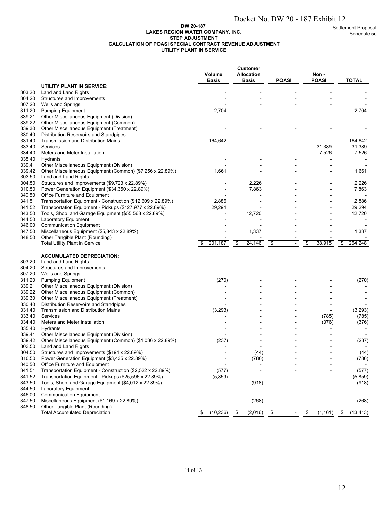#### **DW 20-187 LAKES REGION WATER COMPANY, INC. STEP ADJUSTMENT CALCULATION OF POASI SPECIAL CONTRACT REVENUE ADJUSTMENT UTILITY PLANT IN SERVICE**

|                  |                                                                                                                        |                                                                                |                                      | Docket No. DW 20 - 187 Exhibit 12         |                |                                      |
|------------------|------------------------------------------------------------------------------------------------------------------------|--------------------------------------------------------------------------------|--------------------------------------|-------------------------------------------|----------------|--------------------------------------|
|                  |                                                                                                                        | DW 20-187<br><b>LAKES REGION WATER COMPANY, INC.</b><br><b>STEP ADJUSTMENT</b> |                                      |                                           |                | <b>Settlement Propos</b><br>Schedule |
|                  | <b>CALCULATION OF POASI SPECIAL CONTRACT REVENUE ADJUSTMENT</b>                                                        | UTILITY PLANT IN SERVICE                                                       |                                      |                                           |                |                                      |
|                  |                                                                                                                        | Volume                                                                         | <b>Customer</b><br><b>Allocation</b> |                                           | Non -          |                                      |
|                  | UTILITY PLANT IN SERVICE:                                                                                              | <b>Basis</b>                                                                   | <b>Basis</b>                         | <b>POASI</b>                              | <b>POASI</b>   | <b>TOTAL</b>                         |
| 303.20           | Land and Land Rights                                                                                                   |                                                                                |                                      |                                           |                |                                      |
| 304.20<br>307.20 | Structures and Improvements<br>Wells and Springs                                                                       |                                                                                |                                      |                                           |                |                                      |
| 311.20           | <b>Pumping Equipment</b>                                                                                               | 2,704                                                                          |                                      |                                           |                | 2,704                                |
| 339.21<br>339.22 | Other Miscellaneous Equipment (Division)<br>Other Miscellaneous Equipment (Common)                                     |                                                                                |                                      |                                           |                |                                      |
| 339.30           | Other Miscellaneous Equipment (Treatment)                                                                              |                                                                                |                                      |                                           |                |                                      |
| 330.40<br>331.40 | Distribution Reservoirs and Standpipes<br><b>Transmission and Distribution Mains</b>                                   | 164,642                                                                        |                                      |                                           |                | 164,642                              |
| 333.40           | <b>Services</b>                                                                                                        |                                                                                |                                      |                                           | 31,389         | 31,389                               |
| 334.40           | Meters and Meter Installation                                                                                          |                                                                                |                                      |                                           | 7,526          | 7,526                                |
| 335.40<br>339.41 | Hydrants<br>Other Miscellaneous Equipment (Division)                                                                   |                                                                                |                                      |                                           |                |                                      |
| 339.42           | Other Miscellaneous Equipment (Common) (\$7,256 x 22.89%)                                                              | 1,661                                                                          |                                      |                                           |                | 1,661                                |
| 303.50<br>304.50 | Land and Land Rights<br>Structures and Improvements (\$9,723 x 22.89%)                                                 |                                                                                | 2,226                                |                                           |                | 2,226                                |
| 310.50           | Power Generation Equipment (\$34,350 x 22.89%)                                                                         |                                                                                | 7,863                                |                                           |                | 7,863                                |
| 340.50           | Office Furniture and Equipment                                                                                         |                                                                                |                                      |                                           |                |                                      |
| 341.51<br>341.52 | Transportation Equipment - Construction (\$12,609 x 22.89%)<br>Transportation Equipment - Pickups (\$127,977 x 22.89%) | 2,886<br>29,294                                                                |                                      |                                           |                | 2,886<br>29,294                      |
| 343.50           | Tools, Shop, and Garage Equipment (\$55,568 x 22.89%)                                                                  |                                                                                | 12,720                               |                                           |                | 12,720                               |
| 344.50<br>346.00 | Laboratory Equipment<br><b>Communication Equipment</b>                                                                 |                                                                                |                                      |                                           |                |                                      |
| 347.50           | Miscellaneous Equipment (\$5,843 x 22.89%)                                                                             |                                                                                | 1,337                                |                                           |                | 1,337                                |
| 348.50           | Other Tangible Plant (Rounding)<br><b>Total Utility Plant in Service</b>                                               | 201,187<br>\$                                                                  | 24,146<br>\$                         | \$<br>$\blacksquare$                      | \$<br>38,915   | 264,248<br>\$                        |
|                  |                                                                                                                        |                                                                                |                                      |                                           |                |                                      |
|                  | <b>ACCUMULATED DEPRECIATION:</b>                                                                                       |                                                                                |                                      |                                           |                |                                      |
| 303.20<br>304.20 | Land and Land Rights<br>Structures and Improvements                                                                    |                                                                                |                                      |                                           |                |                                      |
| 307.20           | Wells and Springs                                                                                                      |                                                                                |                                      |                                           |                |                                      |
| 311.20<br>339.21 | <b>Pumping Equipment</b><br>Other Miscellaneous Equipment (Division)                                                   | (270)                                                                          |                                      |                                           |                | (270)                                |
| 339.22           | Other Miscellaneous Equipment (Common)                                                                                 |                                                                                |                                      |                                           |                |                                      |
| 339.30           | Other Miscellaneous Equipment (Treatment)                                                                              |                                                                                |                                      |                                           |                |                                      |
| 330.40<br>331.40 | Distribution Reservoirs and Standpipes<br><b>Transmission and Distribution Mains</b>                                   | (3, 293)                                                                       |                                      |                                           | $\blacksquare$ | (3, 293)                             |
| 333.40           | Services                                                                                                               |                                                                                |                                      |                                           | (785)          | (785)                                |
| 334.40<br>335.40 | Meters and Meter Installation<br>Hydrants                                                                              |                                                                                |                                      |                                           | (376)          | (376)                                |
| 339.41           | Other Miscellaneous Equipment (Division)                                                                               |                                                                                |                                      |                                           |                |                                      |
| 339.42           | Other Miscellaneous Equipment (Common) (\$1,036 x 22.89%)                                                              | (237)                                                                          |                                      |                                           |                | (237)                                |
| 303.50<br>304.50 | Land and Land Rights<br>Structures and Improvements (\$194 x 22.89%)                                                   |                                                                                | (44)                                 |                                           |                | (44)                                 |
| 310.50           | Power Generation Equipment (\$3,435 x 22.89%)                                                                          |                                                                                | (786)                                |                                           |                | (786)                                |
| 340.50<br>341.51 | Office Furniture and Equipment<br>Transportation Equipment - Construction (\$2,522 x 22.89%)                           | (577)                                                                          |                                      |                                           |                | (577)                                |
| 341.52           | Transportation Equipment - Pickups (\$25,596 x 22.89%)                                                                 | (5,859)                                                                        |                                      |                                           |                | (5,859)                              |
| 343.50<br>344.50 | Tools, Shop, and Garage Equipment (\$4,012 x 22.89%)<br>Laboratory Equipment                                           |                                                                                | (918)                                |                                           |                | (918)                                |
| 346.00           | <b>Communication Equipment</b>                                                                                         |                                                                                |                                      |                                           |                |                                      |
| 347.50<br>348.50 | Miscellaneous Equipment (\$1,169 x 22.89%)<br>Other Tangible Plant (Rounding)                                          |                                                                                | (268)                                |                                           |                | (268)                                |
|                  | <b>Total Accumulated Depreciation</b>                                                                                  | (10, 236)<br>\$                                                                | (2,016)<br>\$                        | $\sqrt[6]{\frac{1}{2}}$<br>$\blacksquare$ | \$<br>(1, 161) | (13, 413)<br>\$                      |
|                  |                                                                                                                        |                                                                                |                                      |                                           |                |                                      |
|                  |                                                                                                                        |                                                                                |                                      |                                           |                |                                      |
|                  |                                                                                                                        |                                                                                |                                      |                                           |                |                                      |
|                  |                                                                                                                        | 11 of 13                                                                       |                                      |                                           |                |                                      |
|                  |                                                                                                                        |                                                                                |                                      |                                           |                | 12                                   |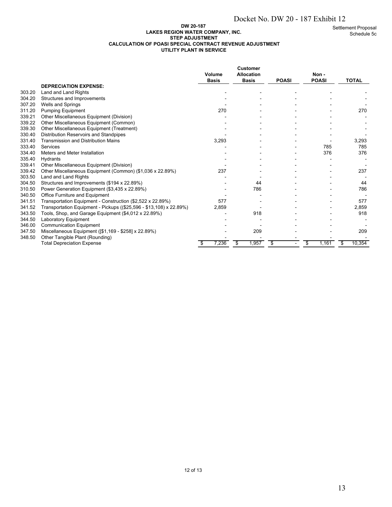#### **DW 20-187 LAKES REGION WATER COMPANY, INC. STEP ADJUSTMENT CALCULATION OF POASI SPECIAL CONTRACT REVENUE ADJUSTMENT UTILITY PLANT IN SERVICE**

**Customer Volume Allocation Non - Basis Basis POASI POASI TOTAL DEPRECIATION EXPENSE:** 303.20 Land and Land Rights<br>304.20 Structures and Improve Structures and Improvements and Improvements and Improvements and Improvements of the structures and Improvements ة المساحد المستخدم المساحد المستخدم المستخدم المستخدم المستخدم المستخدم المستخدم المستخدم المستخدم المستخدم ال<br>311.20 Pumping Equipment 270 311.20 Pumping Equipment 270 270 - - - - 270 270 339.21 Other Miscellaneous Equipment (Division) - - - - - 339.22 Other Miscellaneous Equipment (Common) and the common state of the common state of the common state of the common state of the common state of the common state of the common state of the common state of the common s 339.30 Other Miscellaneous Equipment (Treatment) - - - - ervice of the Standard Standpipes of the Standard Standard Standard Control of the Standard Standard Control of the Standard Standard Standard Standard Standard Standard Standard Standard Standard Standard Standard Standar Transmission and Distribution Mains 3,293 - 3,293 333.40 Services - - - 785 785 and 334.40 Meters and Meter Installation and Structure Communication Communication Communication Communication Communication Communication Communication Communication 376 335.40 Hydrants - - - - - - 339.41 Other Miscellaneous Equipment (Division)<br>339.42 Other Miscellaneous Equipment (Common) (\$1.036 x 22.89%) 237 339.42 Other Miscellaneous Equipment (Common) (\$1,036 x 22.89%) 237 - - - 237 303.50 Land and Land Rights - - - - -  $304.50$  Structures and Improvements  $(194 \times 22.89%)$ 310.50 Power Generation Equipment (\$3,435 x 22.89%) - 786 - - 786 340.50 Office Furniture and Equipment - - - - - 341.51 Transportation Equipment - Construction (\$2,522 x 22.89%) 577 - - - - - - - - - - - - - - - - - 577 341.52 Transportation Equipment - Pickups ((\$25,596 - \$13,108) x 22.89%) 2,859 - - - 2,859 343.50 Tools, Shop, and Garage Equipment (\$4,012 x 22.89%)  $\qquad \qquad$  918 - 918 - 918 344.50 Laboratory Equipment - - - - - 346.00 Communication Equipment - - - - - 347.50 Miscellaneous Equipment ([\$1,169 - \$258] x 22.89%) - 209 - - 209 348.50 Other Tangible Plant (Rounding)<br>
348.50 Other Tangible Plant (Rounding)<br>
348.50 Other Tangible Plant (Rounding)<br>
36 T,236 S 1,957 S - S 1,161 S 10,354 Total Depreciation Expense  $\frac{1}{3}$   $\frac{1}{3}$   $\frac{1}{3}$   $\frac{1}{3}$   $\frac{1}{3}$   $\frac{1}{3}$   $\frac{1}{3}$   $\frac{1}{3}$   $\frac{1}{3}$   $\frac{1}{3}$   $\frac{1}{3}$   $\frac{1}{3}$   $\frac{1}{3}$   $\frac{1}{3}$   $\frac{1}{3}$   $\frac{1}{3}$   $\frac{1}{3}$   $\frac{1}{3}$   $\frac{1}{3}$   $\frac{$ Docket No. DW 20 - 187 Exhibit 12<br>
Settler<br>
NOE ADJUSTMENT<br>
Customer<br>
Allocation<br>
Basis POASI<br>
POASI<br>
POASI<br>
POASI<br>
POASI<br>
POASI<br>
POASI<br>
POASI<br>
POASI<br>
POASI<br>
POASI<br>
POASI<br>
POASI<br>
POASI<br>
POASI<br>
POASI<br>
POASI<br>
POASI<br>
POASI<br>
P